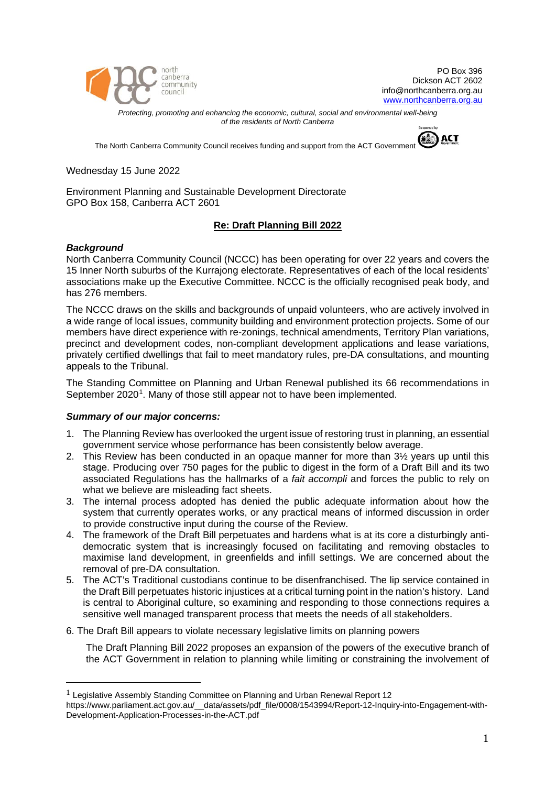

PO Box 396 Dickson ACT 2602 info@northcanberra.org.au www.northcanberra.org.au

*Protecting, promoting and enhancing the economic, cultural, social and environmental well-being of the residents of North Canberra*

The North Canberra Community Council receives funding and support from the ACT Government



Wednesday 15 June 2022

Environment Planning and Sustainable Development Directorate GPO Box 158, Canberra ACT 2601

# **Re: Draft Planning Bill 2022**

## *Background*

North Canberra Community Council (NCCC) has been operating for over 22 years and covers the 15 Inner North suburbs of the Kurrajong electorate. Representatives of each of the local residents' associations make up the Executive Committee. NCCC is the officially recognised peak body, and has 276 members.

The NCCC draws on the skills and backgrounds of unpaid volunteers, who are actively involved in a wide range of local issues, community building and environment protection projects. Some of our members have direct experience with re-zonings, technical amendments, Territory Plan variations, precinct and development codes, non-compliant development applications and lease variations, privately certified dwellings that fail to meet mandatory rules, pre-DA consultations, and mounting appeals to the Tribunal.

The Standing Committee on Planning and Urban Renewal published its 66 recommendations in September 2020<sup>1</sup>. Many of those still appear not to have been implemented.

## *Summary of our major concerns:*

- 1. The Planning Review has overlooked the urgent issue of restoring trust in planning, an essential government service whose performance has been consistently below average.
- 2. This Review has been conducted in an opaque manner for more than  $3\frac{1}{2}$  years up until this stage. Producing over 750 pages for the public to digest in the form of a Draft Bill and its two associated Regulations has the hallmarks of a *fait accompli* and forces the public to rely on what we believe are misleading fact sheets.
- 3. The internal process adopted has denied the public adequate information about how the system that currently operates works, or any practical means of informed discussion in order to provide constructive input during the course of the Review.
- 4. The framework of the Draft Bill perpetuates and hardens what is at its core a disturbingly antidemocratic system that is increasingly focused on facilitating and removing obstacles to maximise land development, in greenfields and infill settings. We are concerned about the removal of pre-DA consultation.
- 5. The ACT's Traditional custodians continue to be disenfranchised. The lip service contained in the Draft Bill perpetuates historic injustices at a critical turning point in the nation's history. Land is central to Aboriginal culture, so examining and responding to those connections requires a sensitive well managed transparent process that meets the needs of all stakeholders.
- 6. The Draft Bill appears to violate necessary legislative limits on planning powers

The Draft Planning Bill 2022 proposes an expansion of the powers of the executive branch of the ACT Government in relation to planning while limiting or constraining the involvement of

<span id="page-0-0"></span> <sup>1</sup> Legislative Assembly Standing Committee on Planning and Urban Renewal Report 12

https://www.parliament.act.gov.au/\_\_data/assets/pdf\_file/0008/1543994/Report-12-Inquiry-into-Engagement-with-Development-Application-Processes-in-the-ACT.pdf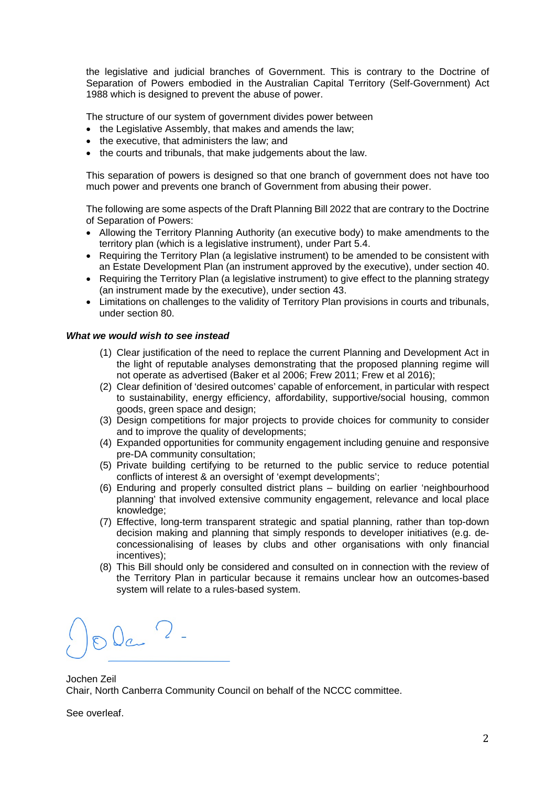the legislative and judicial branches of Government. This is contrary to the Doctrine of Separation of Powers embodied in the Australian Capital Territory (Self-Government) Act 1988 which is designed to prevent the abuse of power.

The structure of our system of government divides power between

- the Legislative Assembly, that makes and amends the law:
- the executive, that administers the law; and
- the courts and tribunals, that make judgements about the law.

This separation of powers is designed so that one branch of government does not have too much power and prevents one branch of Government from abusing their power.

The following are some aspects of the Draft Planning Bill 2022 that are contrary to the Doctrine of Separation of Powers:

- Allowing the Territory Planning Authority (an executive body) to make amendments to the territory plan (which is a legislative instrument), under Part 5.4.
- Requiring the Territory Plan (a legislative instrument) to be amended to be consistent with an Estate Development Plan (an instrument approved by the executive), under section 40.
- Requiring the Territory Plan (a legislative instrument) to give effect to the planning strategy (an instrument made by the executive), under section 43.
- Limitations on challenges to the validity of Territory Plan provisions in courts and tribunals, under section 80.

## *What we would wish to see instead*

- (1) Clear justification of the need to replace the current Planning and Development Act in the light of reputable analyses demonstrating that the proposed planning regime will not operate as advertised (Baker et al 2006; Frew 2011; Frew et al 2016);
- (2) Clear definition of 'desired outcomes' capable of enforcement, in particular with respect to sustainability, energy efficiency, affordability, supportive/social housing, common goods, green space and design;
- (3) Design competitions for major projects to provide choices for community to consider and to improve the quality of developments;
- (4) Expanded opportunities for community engagement including genuine and responsive pre-DA community consultation;
- (5) Private building certifying to be returned to the public service to reduce potential conflicts of interest & an oversight of 'exempt developments';
- (6) Enduring and properly consulted district plans building on earlier 'neighbourhood planning' that involved extensive community engagement, relevance and local place knowledge;
- (7) Effective, long-term transparent strategic and spatial planning, rather than top-down decision making and planning that simply responds to developer initiatives (e.g. deconcessionalising of leases by clubs and other organisations with only financial incentives);
- (8) This Bill should only be considered and consulted on in connection with the review of the Territory Plan in particular because it remains unclear how an outcomes-based system will relate to a rules-based system.

Ola ?-

Jochen Zeil Chair, North Canberra Community Council on behalf of the NCCC committee.

See overleaf.